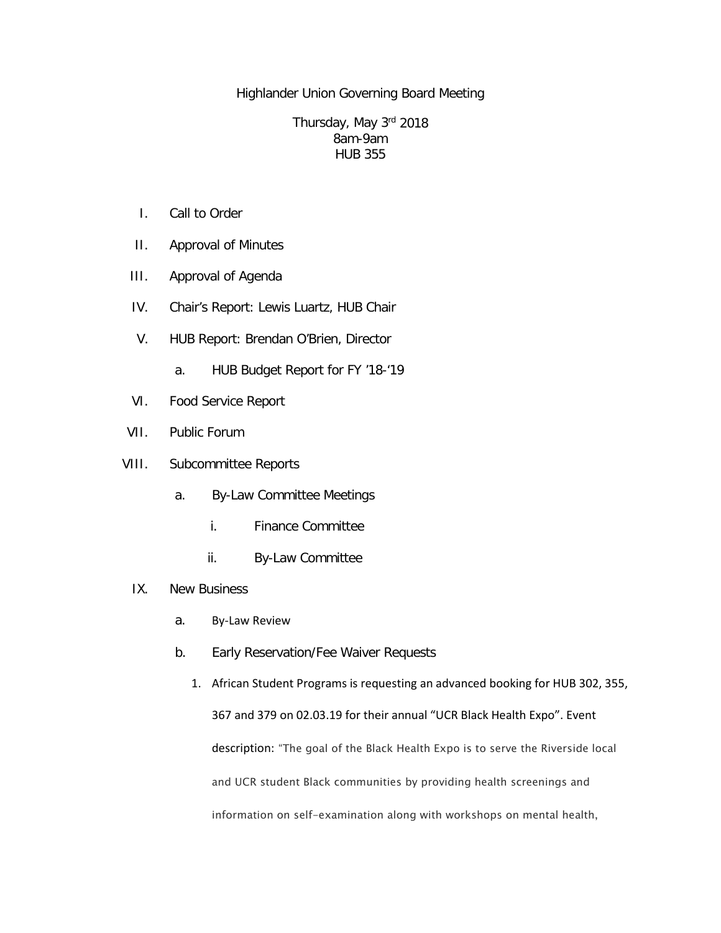Highlander Union Governing Board Meeting

## Thursday, May 3rd 2018 8am-9am HUB 355

- I. Call to Order
- II. Approval of Minutes
- III. Approval of Agenda
- IV. Chair's Report: Lewis Luartz, HUB Chair
- V. HUB Report: Brendan O'Brien, Director
	- a. HUB Budget Report for FY '18-'19
- VI. Food Service Report
- VII. Public Forum
- VIII. Subcommittee Reports
	- a. By-Law Committee Meetings
		- i. Finance Committee
		- ii. By-Law Committee
	- IX. New Business
		- a. By-Law Review
		- b. Early Reservation/Fee Waiver Requests
			- 1. African Student Programs is requesting an advanced booking for HUB 302, 355, 367 and 379 on 02.03.19 for their annual "UCR Black Health Expo". Event description: "The goal of the Black Health Expo is to serve the Riverside local and UCR student Black communities by providing health screenings and information on self-examination along with workshops on mental health,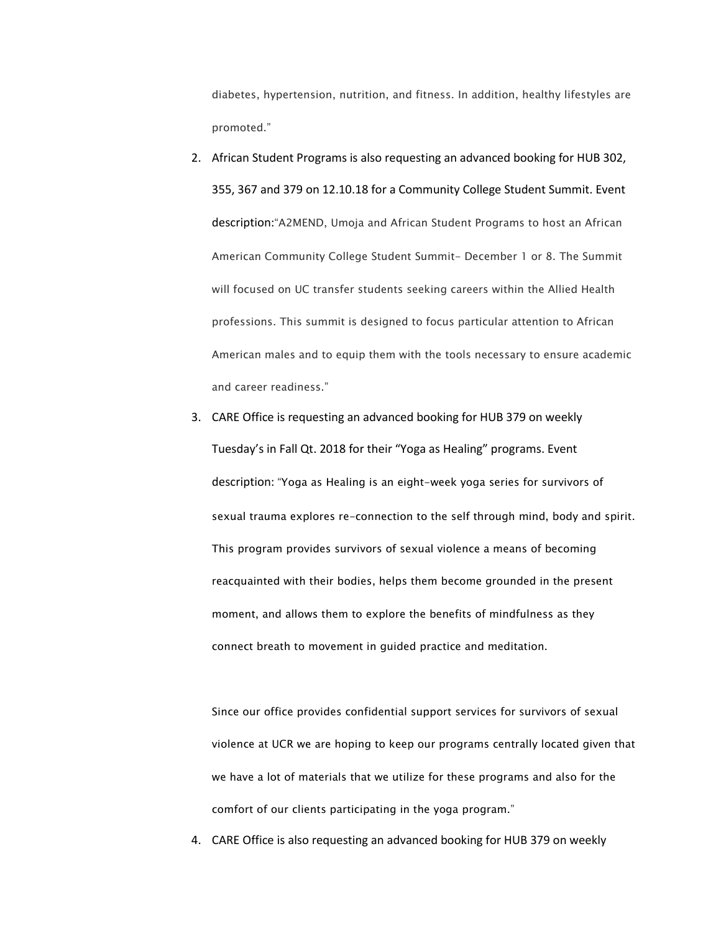diabetes, hypertension, nutrition, and fitness. In addition, healthy lifestyles are promoted."

- 2. African Student Programs is also requesting an advanced booking for HUB 302, 355, 367 and 379 on 12.10.18 for a Community College Student Summit. Event description:"A2MEND, Umoja and African Student Programs to host an African American Community College Student Summit- December 1 or 8. The Summit will focused on UC transfer students seeking careers within the Allied Health professions. This summit is designed to focus particular attention to African American males and to equip them with the tools necessary to ensure academic and career readiness."
- 3. CARE Office is requesting an advanced booking for HUB 379 on weekly Tuesday's in Fall Qt. 2018 for their "Yoga as Healing" programs. Event description: "Yoga as Healing is an eight-week yoga series for survivors of sexual trauma explores re-connection to the self through mind, body and spirit. This program provides survivors of sexual violence a means of becoming reacquainted with their bodies, helps them become grounded in the present moment, and allows them to explore the benefits of mindfulness as they connect breath to movement in guided practice and meditation.

Since our office provides confidential support services for survivors of sexual violence at UCR we are hoping to keep our programs centrally located given that we have a lot of materials that we utilize for these programs and also for the comfort of our clients participating in the yoga program."

4. CARE Office is also requesting an advanced booking for HUB 379 on weekly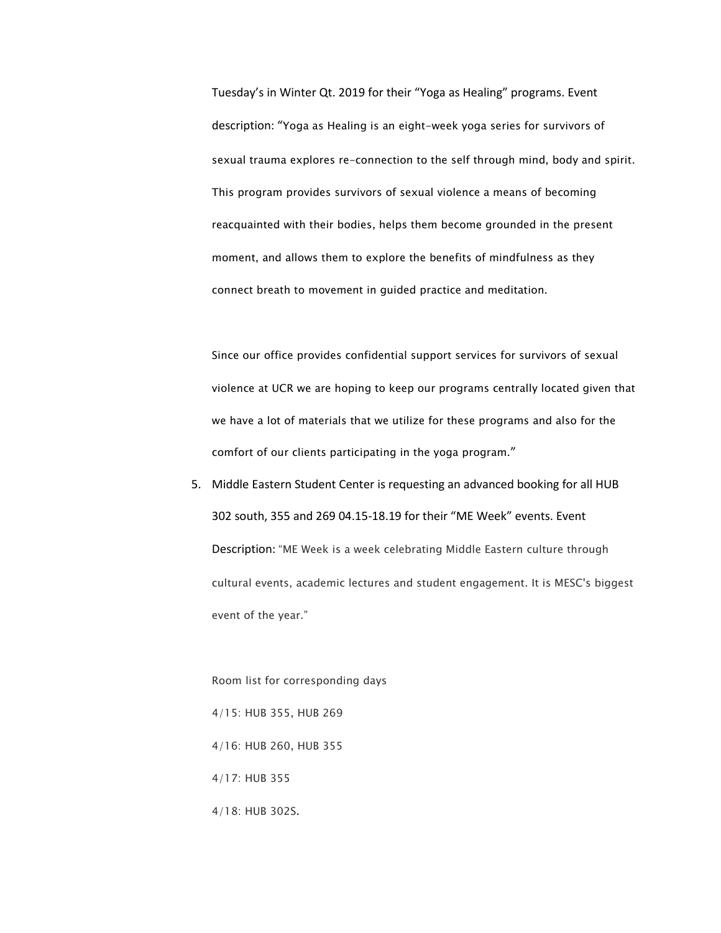Tuesday's in Winter Qt. 2019 for their "Yoga as Healing" programs. Event description: "Yoga as Healing is an eight-week yoga series for survivors of sexual trauma explores re-connection to the self through mind, body and spirit. This program provides survivors of sexual violence a means of becoming reacquainted with their bodies, helps them become grounded in the present moment, and allows them to explore the benefits of mindfulness as they connect breath to movement in guided practice and meditation.

Since our office provides confidential support services for survivors of sexual violence at UCR we are hoping to keep our programs centrally located given that we have a lot of materials that we utilize for these programs and also for the comfort of our clients participating in the yoga program."

5. Middle Eastern Student Center is requesting an advanced booking for all HUB 302 south, 355 and 269 04.15-18.19 for their "ME Week" events. Event Description: "ME Week is a week celebrating Middle Eastern culture through cultural events, academic lectures and student engagement. It is MESC's biggest event of the year."

Room list for corresponding days 4/15: HUB 355, HUB 269 4/16: HUB 260, HUB 355 4/17: HUB 355 4/18: HUB 302S.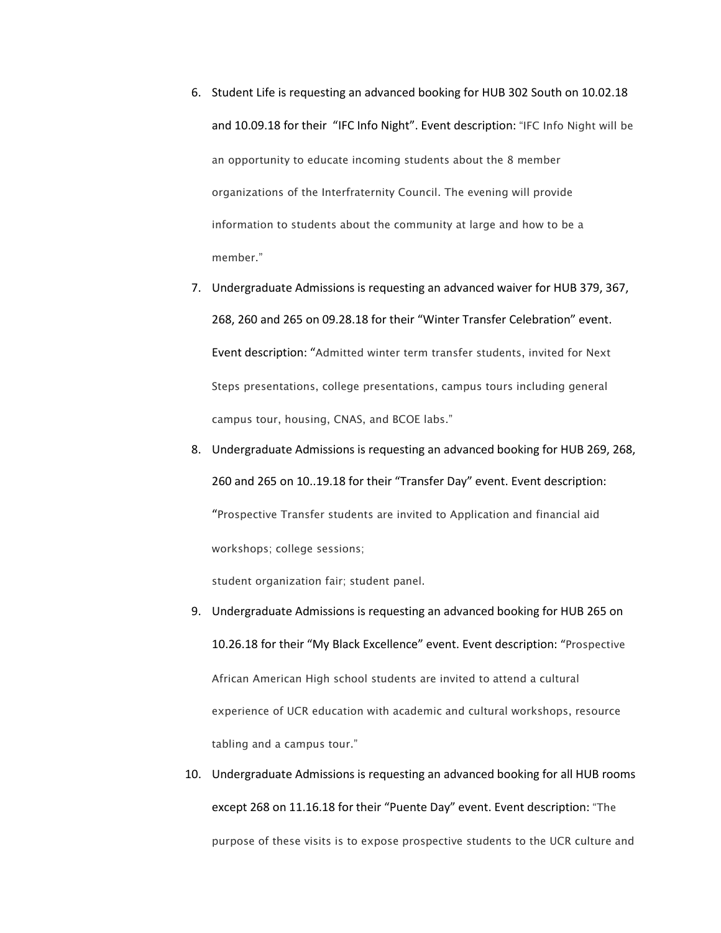- 6. Student Life is requesting an advanced booking for HUB 302 South on 10.02.18 and 10.09.18 for their "IFC Info Night". Event description: "IFC Info Night will be an opportunity to educate incoming students about the 8 member organizations of the Interfraternity Council. The evening will provide information to students about the community at large and how to be a member."
- 7. Undergraduate Admissions is requesting an advanced waiver for HUB 379, 367, 268, 260 and 265 on 09.28.18 for their "Winter Transfer Celebration" event. Event description: "Admitted winter term transfer students, invited for Next Steps presentations, college presentations, campus tours including general campus tour, housing, CNAS, and BCOE labs."
- 8. Undergraduate Admissions is requesting an advanced booking for HUB 269, 268, 260 and 265 on 10..19.18 for their "Transfer Day" event. Event description: "Prospective Transfer students are invited to Application and financial aid workshops; college sessions;

student organization fair; student panel.

- 9. Undergraduate Admissions is requesting an advanced booking for HUB 265 on 10.26.18 for their "My Black Excellence" event. Event description: "Prospective African American High school students are invited to attend a cultural experience of UCR education with academic and cultural workshops, resource tabling and a campus tour."
- 10. Undergraduate Admissions is requesting an advanced booking for all HUB rooms except 268 on 11.16.18 for their "Puente Day" event. Event description: "The purpose of these visits is to expose prospective students to the UCR culture and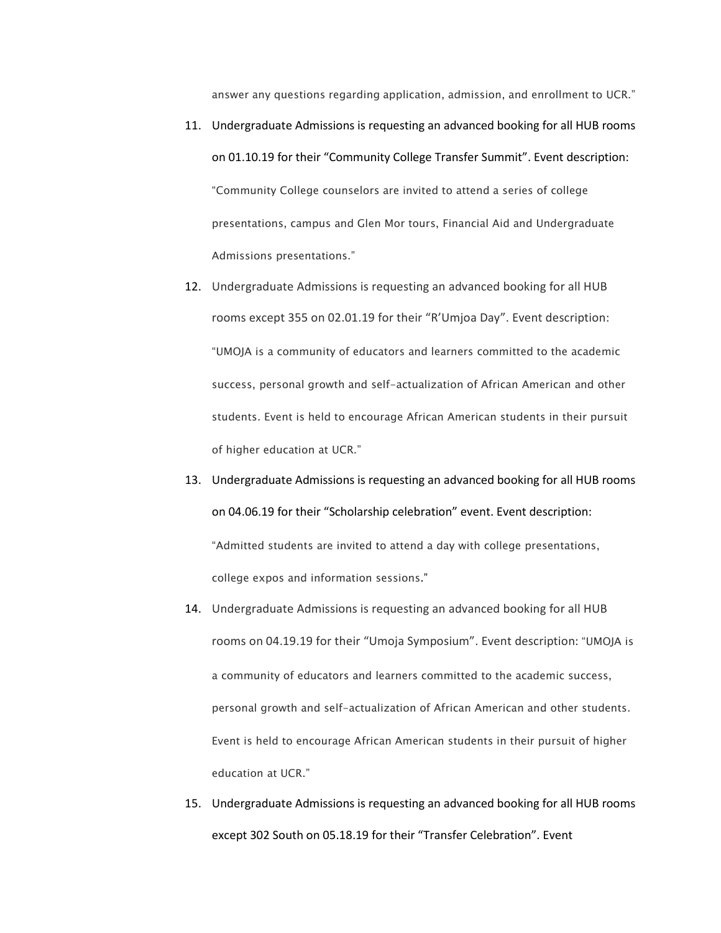answer any questions regarding application, admission, and enrollment to UCR."

- 11. Undergraduate Admissions is requesting an advanced booking for all HUB rooms on 01.10.19 for their "Community College Transfer Summit". Event description: "Community College counselors are invited to attend a series of college presentations, campus and Glen Mor tours, Financial Aid and Undergraduate Admissions presentations."
- 12. Undergraduate Admissions is requesting an advanced booking for all HUB rooms except 355 on 02.01.19 for their "R'Umjoa Day". Event description: "UMOJA is a community of educators and learners committed to the academic success, personal growth and self-actualization of African American and other students. Event is held to encourage African American students in their pursuit of higher education at UCR."
- 13. Undergraduate Admissions is requesting an advanced booking for all HUB rooms on 04.06.19 for their "Scholarship celebration" event. Event description: "Admitted students are invited to attend a day with college presentations, college expos and information sessions."
- 14. Undergraduate Admissions is requesting an advanced booking for all HUB rooms on 04.19.19 for their "Umoja Symposium". Event description: "UMOJA is a community of educators and learners committed to the academic success, personal growth and self-actualization of African American and other students. Event is held to encourage African American students in their pursuit of higher education at UCR."
- 15. Undergraduate Admissions is requesting an advanced booking for all HUB rooms except 302 South on 05.18.19 for their "Transfer Celebration". Event